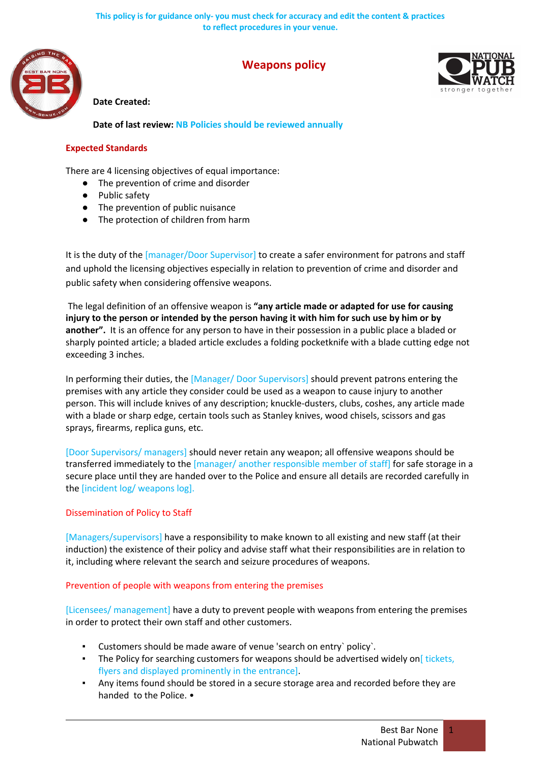

# **Weapons policy**



# **Date Created:**

**Date of last review: NB Policies should be reviewed annually**

## **Expected Standards**

There are 4 licensing objectives of equal importance:

- The prevention of crime and disorder
- Public safety
- The prevention of public nuisance
- The protection of children from harm

It is the duty of the [manager/Door Supervisor] to create a safer environment for patrons and staff and uphold the licensing objectives especially in relation to prevention of crime and disorder and public safety when considering offensive weapons.

The legal definition of an offensive weapon is **"any article made or adapted for use for causing injury to the person or intended by the person having it with him for such use by him or by another".** It is an offence for any person to have in their possession in a public place a bladed or sharply pointed article; a bladed article excludes a folding pocketknife with a blade cutting edge not exceeding 3 inches.

In performing their duties, the [Manager/ Door Supervisors] should prevent patrons entering the premises with any article they consider could be used as a weapon to cause injury to another person. This will include knives of any description; knuckle-dusters, clubs, coshes, any article made with a blade or sharp edge, certain tools such as Stanley knives, wood chisels, scissors and gas sprays, firearms, replica guns, etc.

[Door Supervisors/ managers] should never retain any weapon; all offensive weapons should be transferred immediately to the [manager/ another responsible member of staff] for safe storage in a secure place until they are handed over to the Police and ensure all details are recorded carefully in the [incident log/ weapons log].

### Dissemination of Policy to Staff

[Managers/supervisors] have a responsibility to make known to all existing and new staff (at their induction) the existence of their policy and advise staff what their responsibilities are in relation to it, including where relevant the search and seizure procedures of weapons.

### Prevention of people with weapons from entering the premises

[Licensees/ management] have a duty to prevent people with weapons from entering the premises in order to protect their own staff and other customers.

- Customers should be made aware of venue 'search on entry` policy`.
- **•** The Policy for searching customers for weapons should be advertised widely on[ tickets, flyers and displayed prominently in the entrance].
- Any items found should be stored in a secure storage area and recorded before they are handed to the Police. •

1